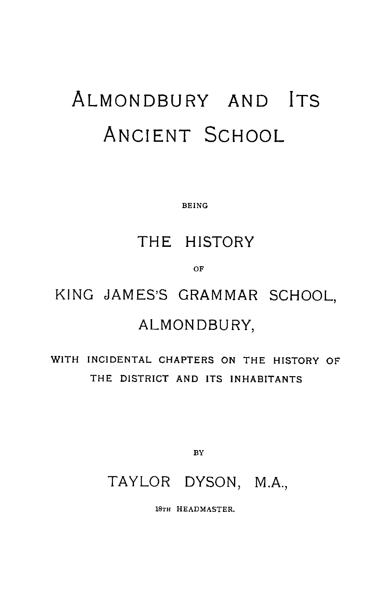# ALMONDBURY AND ITS ANCIENT SCHOOL

BEING

## THE HISTORY

OF

## KING JAMES'S GRAMMAR SCHOOL, ALMONDBURY,

## WITH INCIDENTAL CHAPTERS ON THE HISTORY OF THE DISTRICT AND ITS INHABITANTS

BY

### TAYLOR DYSON, M.A.,

18TH HEADMASTER.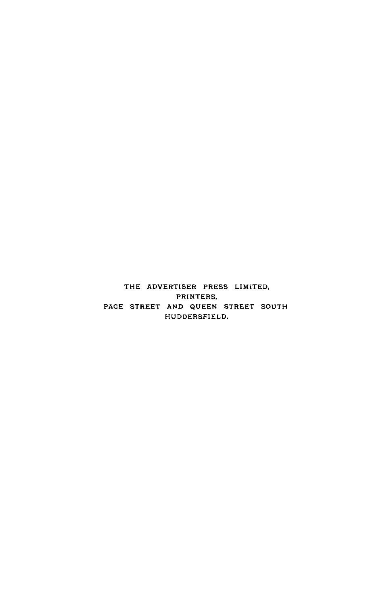THE ADVERTISER PRESS LIMITED, PRINTERS, PAGE STREET AND QUEEN STREET SOUTH HUDDERSFIELD.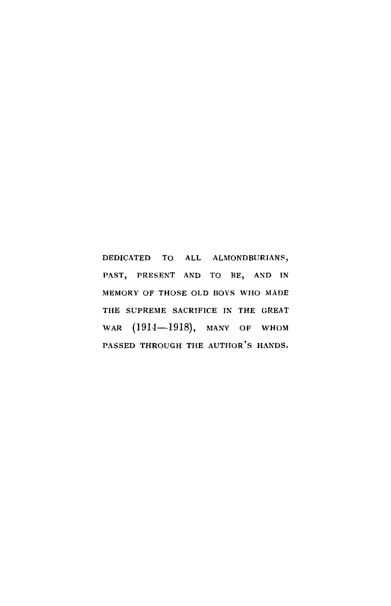**DEDICATED TO ALL ALMONDBURIANS, PAST, PRESENT AND TO BE, AND IN MEMORY OF THOSE OLD BOYS WHO MADE THE SUPREME SACRIFICE IN THE GREAT** WAR (1914-1918), MANY OF WHOM **PASSED THROUGH THE AUTHOR ' S HANDS.**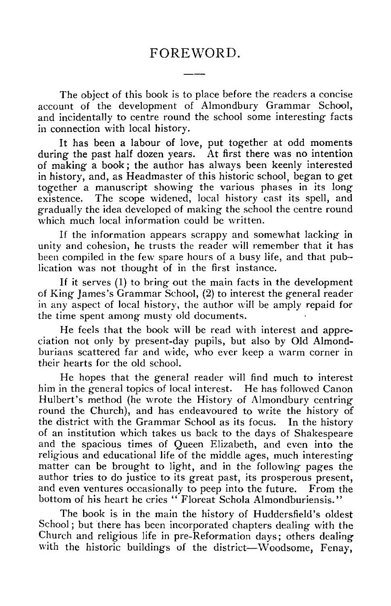#### FOREWORD.

The object of this book is to place before the readers a concise account of the development of Almondbury Grammar School, and incidentally to centre round the school some interesting facts in connection with local history.

It has been a labour of love, put together at odd moments during the past half dozen years. At first there was no intention of making a book ; the author has always been keenly interested in history, and, as Headmaster of this historic school, began to get together a manuscript showing the various phases in its long existence. The scope widened, local history cast its spell, and gradually the idea developed of making the school the centre round which much local information could be written.

It the information appears scrappy and somewhat lacking in unity and cohesion, he trusts the reader will remember that it has been compiled in the few spare hours of a busy life, and that publication was not thought of in the first instance.

If it serves (I) to bring out the main facts in the development of King James's Grammar School, (2) to interest the general reader in any aspect of local history, the author will be amply repaid for the time spent among musty old documents.

He feels that the book will be read with interest and appreciation not only by present-day pupils, but also by Old Almondburians scattered far and wide, who ever keep a warm corner in their hearts for the old school.

He hopes that the general reader will find much to interest him in the general topics of local interest. He has followed Canon Hulbert's method (he wrote the History of Almondbury centring round the Church), and has endeavoured to write the history of the district with the Grammar School as its focus. In the history of an institution which takes us back to the days of Shakespeare and the spacious times of Queen Elizabeth, and even into the religious and educational life of the middle ages, much interesting matter can be brought to light, and in the following pages the author tries to do justice to its great past, its prosperous present, and even ventures occasionally to peep into the future. From the bottom of his heart he cries " Floreat Schola Almondburiensis."

The book is in the main the history of Huddersfield's oldest School ; but there has been incorporated chapters dealing with the Church and religious life in pre-Reformation days; others dealing with the historic buildings of the district—Woodsome, Fenay,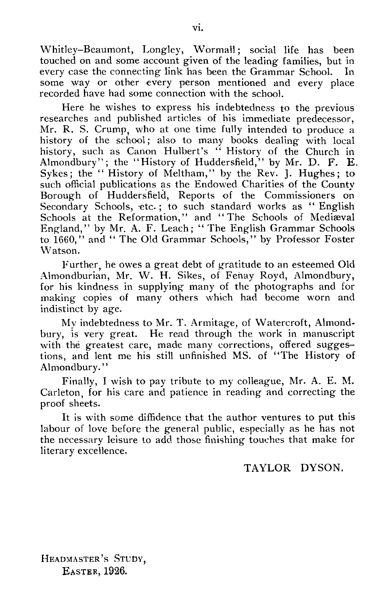Whitley–Beaumont, Longley, Wormall; social life has been touched on and some account given of the leading families, but in every case the connecting link has been the Grammar School. In some way or other every person mentioned and every place recorded have had some connection with the school.

Here he wishes to express his indebtedness to the previous researches and published articles of his immediate predecessor, Mr. R. S. Crump, who at one time fully intended to produce a history of the school; also to many books dealing with local history, such as Canon Hulbert's " History of the Church in Almondbury"; the "History of Huddersfield," by Mr. D. F. E. Sykes; the "History of Meltham," by the Rev. J. Hughes; to such official publications as the Endowed Charities of the County Borough of Huddersfield, Reports of the Commissioners on Secondary Schools, etc.; to such standard works as " English Schools at the Reformation," and " The Schools of Mediæval England," by Mr. A. F. Leach; " The English Grammar Schools to 1660," and " The Old Grammar Schools," by Professor Foster Watson.

Further, he owes a great debt of gratitude to an esteemed Old Almondburian, Mr. W. H. Sikes, of Fenay Royd, Almondbury, for his kindness in supplying many of the photographs and for making copies of many others which had become worn and indistinct by age.

My indebtedness to Mr. T. Armitage, of Watercroft, Almondbury, is very great. He read through the work in manuscript with the greatest care, made many corrections, offered suggestions, and lent me his still unfinished MS. of "The History of Almondbury."

Finally, I wish to pay tribute to my colleague, Mr. A. E. M. Carleton, for his care and patience in reading and correcting the proof sheets.

It is with some diffidence that the author ventures to put this labour of love before the general public, especially as he has not the necessary leisure to add those finishing touches that make for literary excellence.

#### TAYLOR DYSON.